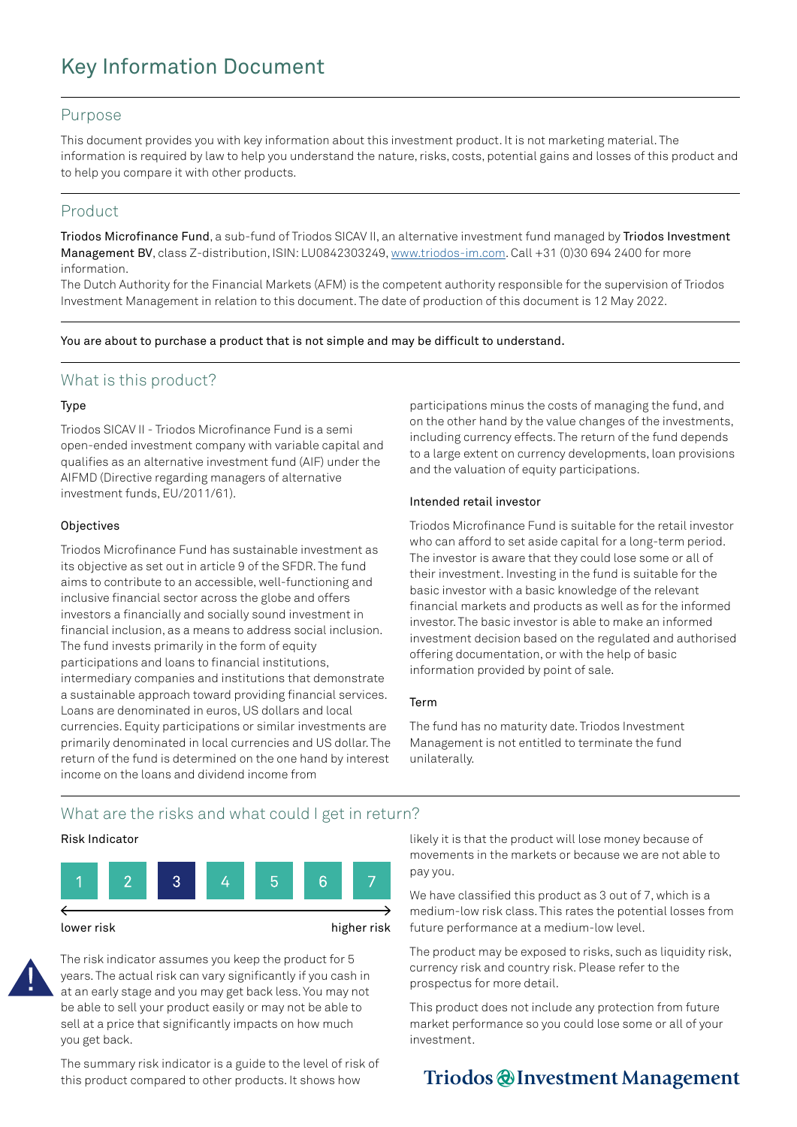# Key Information Document

#### Purpose

This document provides you with key information about this investment product. It is not marketing material. The information is required by law to help you understand the nature, risks, costs, potential gains and losses of this product and to help you compare it with other products.

### Product

Triodos Microfinance Fund, a sub-fund of Triodos SICAV II, an alternative investment fund managed by Triodos Investment Management BV, class Z-distribution, ISIN: LU0842303249, [www.triodos-im.com.](http://www.triodos-im.com) Call +31 (0)30 694 2400 for more information.

The Dutch Authority for the Financial Markets (AFM) is the competent authority responsible for the supervision of Triodos Investment Management in relation to this document. The date of production of this document is 12 May 2022.

You are about to purchase a product that is not simple and may be difficult to understand.

### What is this product?

#### Type

Triodos SICAV II - Triodos Microfinance Fund is a semi open-ended investment company with variable capital and qualifies as an alternative investment fund (AIF) under the AIFMD (Directive regarding managers of alternative investment funds, EU/2011/61).

#### **Objectives**

Triodos Microfinance Fund has sustainable investment as its objective as set out in article 9 of the SFDR. The fund aims to contribute to an accessible, well-functioning and inclusive financial sector across the globe and offers investors a financially and socially sound investment in financial inclusion, as a means to address social inclusion. The fund invests primarily in the form of equity participations and loans to financial institutions, intermediary companies and institutions that demonstrate a sustainable approach toward providing financial services. Loans are denominated in euros, US dollars and local currencies. Equity participations or similar investments are primarily denominated in local currencies and US dollar. The return of the fund is determined on the one hand by interest income on the loans and dividend income from

participations minus the costs of managing the fund, and on the other hand by the value changes of the investments, including currency effects. The return of the fund depends to a large extent on currency developments, loan provisions and the valuation of equity participations.

#### Intended retail investor

Triodos Microfinance Fund is suitable for the retail investor who can afford to set aside capital for a long-term period. The investor is aware that they could lose some or all of their investment. Investing in the fund is suitable for the basic investor with a basic knowledge of the relevant financial markets and products as well as for the informed investor. The basic investor is able to make an informed investment decision based on the regulated and authorised offering documentation, or with the help of basic information provided by point of sale.

#### Term

The fund has no maturity date. Triodos Investment Management is not entitled to terminate the fund unilaterally.

### What are the risks and what could I get in return?

#### Risk Indicator



The risk indicator assumes you keep the product for 5 years. The actual risk can vary significantly if you cash in at an early stage and you may get back less. You may not be able to sell your product easily or may not be able to sell at a price that significantly impacts on how much you get back.

The summary risk indicator is a guide to the level of risk of this product compared to other products. It shows how

likely it is that the product will lose money because of movements in the markets or because we are not able to pay you.

We have classified this product as 3 out of 7, which is a medium-low risk class. This rates the potential losses from future performance at a medium-low level.

The product may be exposed to risks, such as liquidity risk, currency risk and country risk. Please refer to the prospectus for more detail.

This product does not include any protection from future market performance so you could lose some or all of your investment.

## Triodos @ Investment Management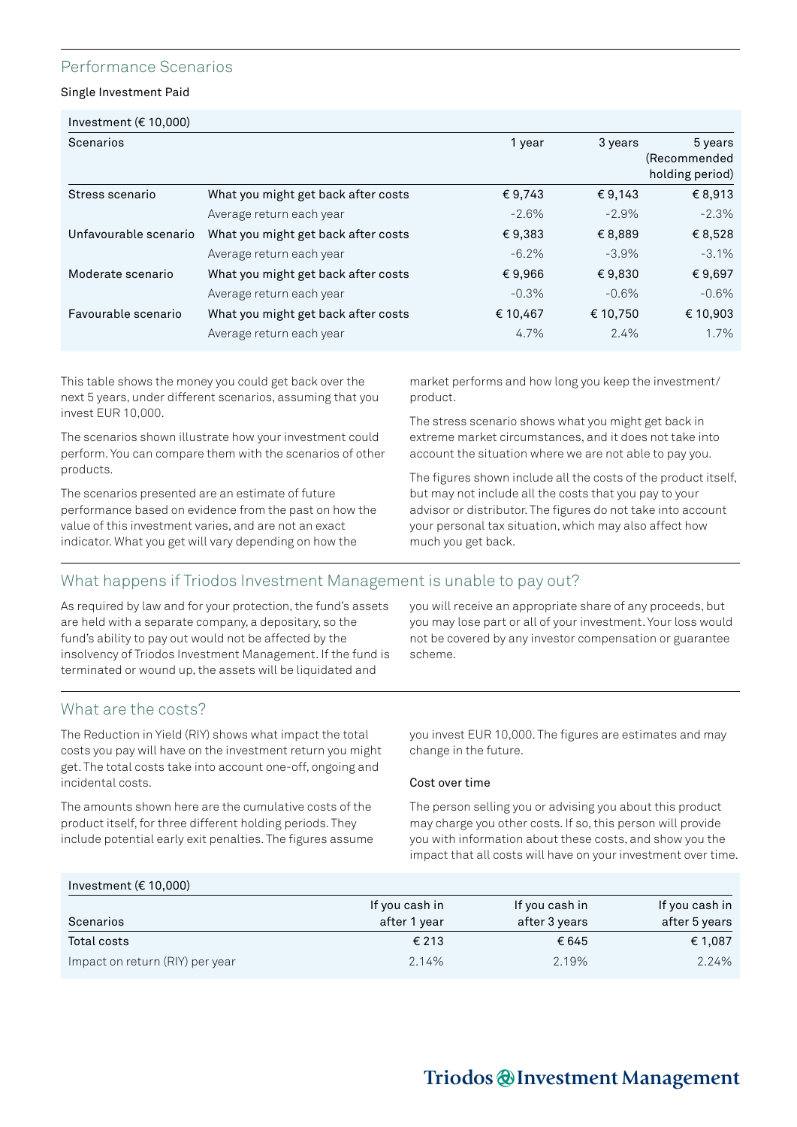### Performance Scenarios

Single Investment Paid

| Scenarios             |                                     | 1 year   | 3 years  | 5 years         |
|-----------------------|-------------------------------------|----------|----------|-----------------|
|                       |                                     |          |          | (Recommended)   |
|                       |                                     |          |          | holding period) |
| Stress scenario       | What you might get back after costs | €9,743   | € 9.143  | € 8,913         |
|                       | Average return each year            | $-2.6\%$ | $-2.9\%$ | $-2.3%$         |
| Unfavourable scenario | What you might get back after costs | €9,383   | €8,889   | €8,528          |
|                       | Average return each year            | $-6.2%$  | $-3.9%$  | $-3.1%$         |
| Moderate scenario     | What you might get back after costs | €9,966   | €9,830   | €9,697          |
|                       | Average return each year            | $-0.3%$  | $-0.6%$  | $-0.6%$         |
| Favourable scenario   | What you might get back after costs | € 10,467 | € 10,750 | € 10,903        |
|                       | Average return each year            | 4.7%     | 2.4%     | 1.7%            |
|                       |                                     |          |          |                 |

This table shows the money you could get back over the next 5 years, under different scenarios, assuming that you invest EUR 10,000.

The scenarios shown illustrate how your investment could perform. You can compare them with the scenarios of other products.

The scenarios presented are an estimate of future performance based on evidence from the past on how the value of this investment varies, and are not an exact indicator. What you get will vary depending on how the

market performs and how long you keep the investment/ product.

The stress scenario shows what you might get back in extreme market circumstances, and it does not take into account the situation where we are not able to pay you.

The figures shown include all the costs of the product itself, but may not include all the costs that you pay to your advisor or distributor. The figures do not take into account your personal tax situation, which may also affect how much you get back.

### What happens if Triodos Investment Management is unable to pay out?

As required by law and for your protection, the fund's assets are held with a separate company, a depositary, so the fund's ability to pay out would not be affected by the insolvency of Triodos Investment Management. If the fund is terminated or wound up, the assets will be liquidated and

you will receive an appropriate share of any proceeds, but you may lose part or all of your investment. Your loss would not be covered by any investor compensation or guarantee scheme.

### What are the costs?

The Reduction in Yield (RIY) shows what impact the total costs you pay will have on the investment return you might get. The total costs take into account one-off, ongoing and incidental costs.

The amounts shown here are the cumulative costs of the product itself, for three different holding periods. They include potential early exit penalties. The figures assume you invest EUR 10,000. The figures are estimates and may change in the future.

#### Cost over time

The person selling you or advising you about this product may charge you other costs. If so, this person will provide you with information about these costs, and show you the impact that all costs will have on your investment over time.

### Investment (€ 10,000)

| Scenarios                       | If you cash in<br>after 1 year | If you cash in<br>after 3 years | If you cash in<br>after 5 years |
|---------------------------------|--------------------------------|---------------------------------|---------------------------------|
| Total costs                     | € 213                          | €645                            | € 1,087                         |
| Impact on return (RIY) per year | 2.14%                          | 2.19%                           | 2.24%                           |